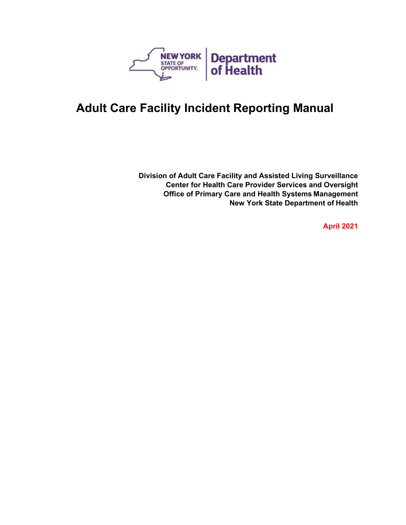

**Division of Adult Care Facility and Assisted Living Surveillance Center for Health Care Provider Services and Oversight Office of Primary Care and Health Systems Management New York State Department of Health**

**April 2021**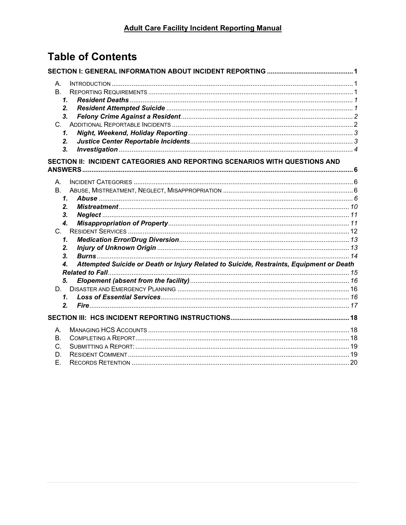# **Table of Contents**

| А.                                                                                            |  |
|-----------------------------------------------------------------------------------------------|--|
| B <sub>1</sub>                                                                                |  |
| 1.                                                                                            |  |
| 2.                                                                                            |  |
| 3.                                                                                            |  |
| C.                                                                                            |  |
| 1.                                                                                            |  |
| 2.                                                                                            |  |
| 3.                                                                                            |  |
| SECTION II: INCIDENT CATEGORIES AND REPORTING SCENARIOS WITH QUESTIONS AND                    |  |
| A.                                                                                            |  |
| <b>B.</b>                                                                                     |  |
| 1.                                                                                            |  |
| 2.                                                                                            |  |
| 3.                                                                                            |  |
| $\boldsymbol{4}$ .                                                                            |  |
| C.                                                                                            |  |
| 1.                                                                                            |  |
| 2.                                                                                            |  |
| 3.                                                                                            |  |
| Attempted Suicide or Death or Injury Related to Suicide, Restraints, Equipment or Death<br>4. |  |
| 5.                                                                                            |  |
| D.                                                                                            |  |
| $\mathbf{1}$                                                                                  |  |
| 2.                                                                                            |  |
|                                                                                               |  |
|                                                                                               |  |
| А.                                                                                            |  |
| Β.                                                                                            |  |
| C.                                                                                            |  |
| D.                                                                                            |  |
| Е.                                                                                            |  |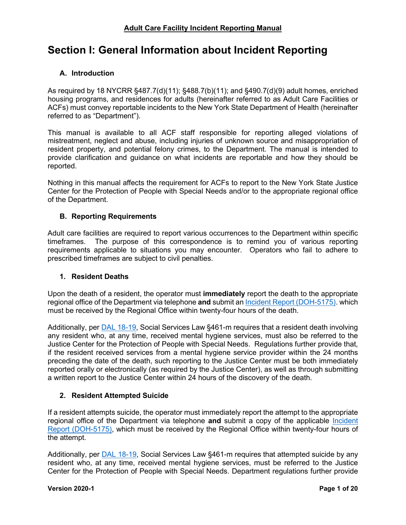## <span id="page-2-0"></span>**Section I: General Information about Incident Reporting**

## <span id="page-2-1"></span>**A. Introduction**

As required by 18 NYCRR §487.7(d)(11); §488.7(b)(11); and §490.7(d)(9) adult homes, enriched housing programs, and residences for adults (hereinafter referred to as Adult Care Facilities or ACFs) must convey reportable incidents to the New York State Department of Health (hereinafter referred to as "Department").

This manual is available to all ACF staff responsible for reporting alleged violations of mistreatment, neglect and abuse, including injuries of unknown source and misappropriation of resident property, and potential felony crimes, to the Department. The manual is intended to provide clarification and guidance on what incidents are reportable and how they should be reported.

Nothing in this manual affects the requirement for ACFs to report to the New York State Justice Center for the Protection of People with Special Needs and/or to the appropriate regional office of the Department.

## <span id="page-2-2"></span>**B. Reporting Requirements**

Adult care facilities are required to report various occurrences to the Department within specific timeframes. The purpose of this correspondence is to remind you of various reporting requirements applicable to situations you may encounter. Operators who fail to adhere to prescribed timeframes are subject to civil penalties.

#### <span id="page-2-3"></span>**1. Resident Deaths**

Upon the death of a resident, the operator must **immediately** report the death to the appropriate regional office of the Department via telephone **and** submit an [Incident Report \(DOH-5175\).](https://health.ny.gov/forms/doh-5175.pdf) which must be received by the Regional Office within twenty-four hours of the death.

Additionally, per [DAL 18-19,](https://health.ny.gov/facilities/adult_care/dear_administrator_letters/docs/dal_18-19_reporting_of_deaths_attempted_suicide_and_felony_crimes.pdf) Social Services Law §461-m requires that a resident death involving any resident who, at any time, received mental hygiene services, must also be referred to the Justice Center for the Protection of People with Special Needs. Regulations further provide that, if the resident received services from a mental hygiene service provider within the 24 months preceding the date of the death, such reporting to the Justice Center must be both immediately reported orally or electronically (as required by the Justice Center), as well as through submitting a written report to the Justice Center within 24 hours of the discovery of the death.

## <span id="page-2-4"></span>**2. Resident Attempted Suicide**

If a resident attempts suicide, the operator must immediately report the attempt to the appropriate regional office of the Department via telephone **and** submit a copy of the applicable [Incident](https://health.ny.gov/forms/doh-5175.pdf)  [Report \(DOH-5175\),](https://health.ny.gov/forms/doh-5175.pdf) which must be received by the Regional Office within twenty-four hours of the attempt.

Additionally, per [DAL 18-19,](https://health.ny.gov/facilities/adult_care/dear_administrator_letters/docs/dal_18-19_reporting_of_deaths_attempted_suicide_and_felony_crimes.pdf) Social Services Law §461-m requires that attempted suicide by any resident who, at any time, received mental hygiene services, must be referred to the Justice Center for the Protection of People with Special Needs. Department regulations further provide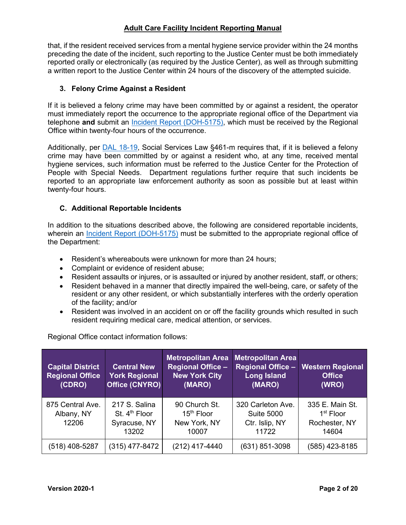that, if the resident received services from a mental hygiene service provider within the 24 months preceding the date of the incident, such reporting to the Justice Center must be both immediately reported orally or electronically (as required by the Justice Center), as well as through submitting a written report to the Justice Center within 24 hours of the discovery of the attempted suicide.

## <span id="page-3-0"></span>**3. Felony Crime Against a Resident**

If it is believed a felony crime may have been committed by or against a resident, the operator must immediately report the occurrence to the appropriate regional office of the Department via telephone **and** submit an [Incident Report \(DOH-5175\),](https://health.ny.gov/forms/doh-5175.pdf) which must be received by the Regional Office within twenty-four hours of the occurrence.

Additionally, per **DAL 18-19**, Social Services Law §461-m requires that, if it is believed a felony crime may have been committed by or against a resident who, at any time, received mental hygiene services, such information must be referred to the Justice Center for the Protection of People with Special Needs. Department regulations further require that such incidents be reported to an appropriate law enforcement authority as soon as possible but at least within twenty-four hours.

## <span id="page-3-1"></span>**C. Additional Reportable Incidents**

In addition to the situations described above, the following are considered reportable incidents, wherein an [Incident Report \(DOH-5175\)](https://health.ny.gov/forms/doh-5175.pdf) must be submitted to the appropriate regional office of the Department:

- Resident's whereabouts were unknown for more than 24 hours;
- Complaint or evidence of resident abuse;
- Resident assaults or injures, or is assaulted or injured by another resident, staff, or others;
- Resident behaved in a manner that directly impaired the well-being, care, or safety of the resident or any other resident, or which substantially interferes with the orderly operation of the facility; and/or
- Resident was involved in an accident on or off the facility grounds which resulted in such resident requiring medical care, medical attention, or services.

Regional Office contact information follows:

| <b>Capital District</b><br><b>Regional Office</b><br>(CDRO) | <b>Central New</b><br><b>York Regional</b><br>Office (CNYRO)        | <b>Metropolitan Area</b><br><b>Regional Office -</b><br><b>New York City</b><br>(MARO) | <b>Metropolitan Area</b><br><b>Regional Office -</b><br><b>Long Island</b><br>(MARO) | <b>Western Regional</b><br><b>Office</b><br>(WRO)                  |
|-------------------------------------------------------------|---------------------------------------------------------------------|----------------------------------------------------------------------------------------|--------------------------------------------------------------------------------------|--------------------------------------------------------------------|
| 875 Central Ave.<br>Albany, NY<br>12206                     | 217 S. Salina<br>St. 4 <sup>th</sup> Floor<br>Syracuse, NY<br>13202 | 90 Church St.<br>15 <sup>th</sup> Floor<br>New York, NY<br>10007                       | 320 Carleton Ave.<br><b>Suite 5000</b><br>Ctr. Islip, NY<br>11722                    | 335 E. Main St.<br>1 <sup>st</sup> Floor<br>Rochester, NY<br>14604 |
| (518) 408-5287                                              | (315) 477-8472                                                      | (212) 417-4440                                                                         | (631) 851-3098                                                                       | (585) 423-8185                                                     |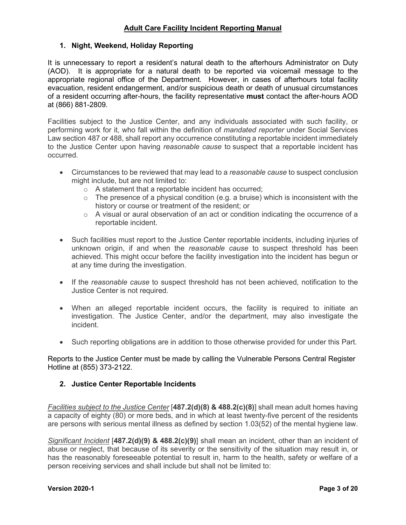## <span id="page-4-0"></span>**1. Night, Weekend, Holiday Reporting**

It is unnecessary to report a resident's natural death to the afterhours Administrator on Duty (AOD). It is appropriate for a natural death to be reported via voicemail message to the appropriate regional office of the Department. However, in cases of afterhours total facility evacuation, resident endangerment, and/or suspicious death or death of unusual circumstances of a resident occurring after-hours, the facility representative **must** contact the after-hours AOD at (866) 881-2809.

Facilities subject to the Justice Center, and any individuals associated with such facility, or performing work for it, who fall within the definition of *mandated reporter* under Social Services Law section 487 or 488, shall report any occurrence constituting a reportable incident immediately to the Justice Center upon having *reasonable cause* to suspect that a reportable incident has occurred.

- Circumstances to be reviewed that may lead to a *reasonable cause* to suspect conclusion might include, but are not limited to:
	- o A statement that a reportable incident has occurred;
	- $\circ$  The presence of a physical condition (e.g. a bruise) which is inconsistent with the history or course or treatment of the resident; or
	- $\circ$  A visual or aural observation of an act or condition indicating the occurrence of a reportable incident.
- Such facilities must report to the Justice Center reportable incidents, including injuries of unknown origin, if and when the *reasonable cause* to suspect threshold has been achieved. This might occur before the facility investigation into the incident has begun or at any time during the investigation.
- If the *reasonable cause* to suspect threshold has not been achieved, notification to the Justice Center is not required.
- When an alleged reportable incident occurs, the facility is required to initiate an investigation. The Justice Center, and/or the department, may also investigate the incident.
- Such reporting obligations are in addition to those otherwise provided for under this Part.

Reports to the Justice Center must be made by calling the Vulnerable Persons Central Register Hotline at (855) 373-2122.

## <span id="page-4-1"></span>**2. Justice Center Reportable Incidents**

*Facilities subject to the Justice Center* [**487.2(d)(8) & 488.2(c)(8)**] shall mean adult homes having a capacity of eighty (80) or more beds, and in which at least twenty-five percent of the residents are persons with serious mental illness as defined by section 1.03(52) of the mental hygiene law.

*Significant Incident* [**487.2(d)(9) & 488.2(c)(9)**] shall mean an incident, other than an incident of abuse or neglect, that because of its severity or the sensitivity of the situation may result in, or has the reasonably foreseeable potential to result in, harm to the health, safety or welfare of a person receiving services and shall include but shall not be limited to: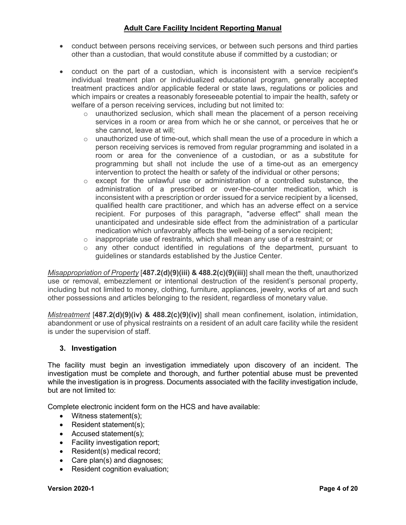- conduct between persons receiving services, or between such persons and third parties other than a custodian, that would constitute abuse if committed by a custodian; or
- conduct on the part of a custodian, which is inconsistent with a service recipient's individual treatment plan or individualized educational program, generally accepted treatment practices and/or applicable federal or state laws, regulations or policies and which impairs or creates a reasonably foreseeable potential to impair the health, safety or welfare of a person receiving services, including but not limited to:
	- $\circ$  unauthorized seclusion, which shall mean the placement of a person receiving services in a room or area from which he or she cannot, or perceives that he or she cannot, leave at will;
	- $\circ$  unauthorized use of time-out, which shall mean the use of a procedure in which a person receiving services is removed from regular programming and isolated in a room or area for the convenience of a custodian, or as a substitute for programming but shall not include the use of a time-out as an emergency intervention to protect the health or safety of the individual or other persons;
	- $\circ$  except for the unlawful use or administration of a controlled substance, the administration of a prescribed or over-the-counter medication, which is inconsistent with a prescription or order issued for a service recipient by a licensed, qualified health care practitioner, and which has an adverse effect on a service recipient. For purposes of this paragraph, "adverse effect" shall mean the unanticipated and undesirable side effect from the administration of a particular medication which unfavorably affects the well-being of a service recipient;
	- $\circ$  inappropriate use of restraints, which shall mean any use of a restraint; or
	- o any other conduct identified in regulations of the department, pursuant to guidelines or standards established by the Justice Center.

*Misappropriation of Property* [**487.2(d)(9)(iii) & 488.2(c)(9)(iii)**] shall mean the theft, unauthorized use or removal, embezzlement or intentional destruction of the resident's personal property, including but not limited to money, clothing, furniture, appliances, jewelry, works of art and such other possessions and articles belonging to the resident, regardless of monetary value.

*Mistreatment* [**487.2(d)(9)(iv) & 488.2(c)(9)(iv)**] shall mean confinement, isolation, intimidation, abandonment or use of physical restraints on a resident of an adult care facility while the resident is under the supervision of staff.

## <span id="page-5-0"></span>**3. Investigation**

The facility must begin an investigation immediately upon discovery of an incident. The investigation must be complete and thorough, and further potential abuse must be prevented while the investigation is in progress. Documents associated with the facility investigation include, but are not limited to:

Complete electronic incident form on the HCS and have available:

- Witness statement(s);
- Resident statement(s);
- Accused statement(s);
- Facility investigation report;
- Resident(s) medical record;
- Care plan(s) and diagnoses;
- Resident cognition evaluation;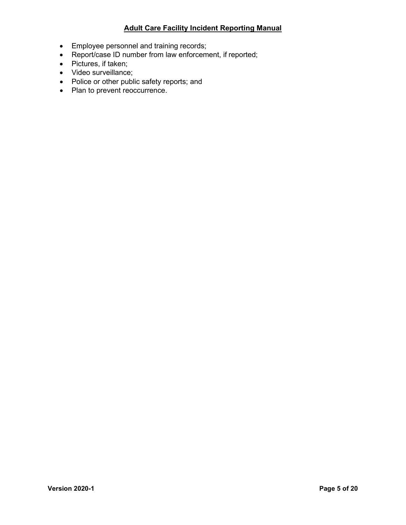- Employee personnel and training records;
- Report/case ID number from law enforcement, if reported;
- Pictures, if taken;
- Video surveillance;
- Police or other public safety reports; and
- Plan to prevent reoccurrence.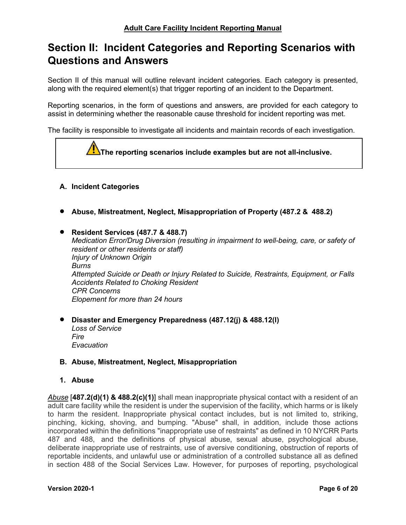## <span id="page-7-0"></span>**Section II: Incident Categories and Reporting Scenarios with Questions and Answers**

Section II of this manual will outline relevant incident categories. Each category is presented, along with the required element(s) that trigger reporting of an incident to the Department.

Reporting scenarios, in the form of questions and answers, are provided for each category to assist in determining whether the reasonable cause threshold for incident reporting was met.

The facility is responsible to investigate all incidents and maintain records of each investigation.



## <span id="page-7-1"></span>**A. Incident Categories**

• **Abuse, Mistreatment, Neglect, Misappropriation of Property (487.2 & 488.2)**

• **Resident Services (487.7 & 488.7)** *Medication Error/Drug Diversion (resulting in impairment to well-being, care, or safety of resident or other residents or staff) Injury of Unknown Origin Burns Attempted Suicide or Death or Injury Related to Suicide, Restraints, Equipment, or Falls Accidents Related to Choking Resident CPR Concerns Elopement for more than 24 hours*

• **Disaster and Emergency Preparedness (487.12(j) & 488.12(l)**

*Loss of Service Fire Evacuation*

## <span id="page-7-2"></span>**B. Abuse, Mistreatment, Neglect, Misappropriation**

#### <span id="page-7-3"></span>**1. Abuse**

*Abuse* [**487.2(d)(1) & 488.2(c)(1)**] shall mean inappropriate physical contact with a resident of an adult care facility while the resident is under the supervision of the facility, which harms or is likely to harm the resident. Inappropriate physical contact includes, but is not limited to, striking, pinching, kicking, shoving, and bumping. "Abuse" shall, in addition, include those actions incorporated within the definitions "inappropriate use of restraints" as defined in 10 NYCRR Parts 487 and 488, and the definitions of physical abuse, sexual abuse, psychological abuse, deliberate inappropriate use of restraints, use of aversive conditioning, obstruction of reports of reportable incidents, and unlawful use or administration of a controlled substance all as defined in section 488 of the Social Services Law. However, for purposes of reporting, psychological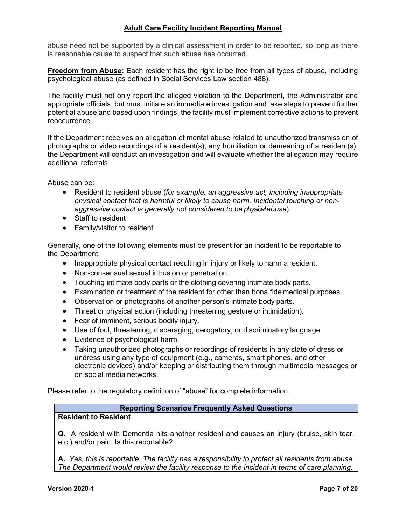abuse need not be supported by a clinical assessment in order to be reported, so long as there is reasonable cause to suspect that such abuse has occurred.

**Freedom from Abuse:** Each resident has the right to be free from all types of abuse, including psychological abuse (as defined in Social Services Law section 488).

The facility must not only report the alleged violation to the Department, the Administrator and appropriate officials, but must initiate an immediate investigation and take steps to prevent further potential abuse and based upon findings, the facility must implement corrective actions to prevent reoccurrence.

If the Department receives an allegation of mental abuse related to unauthorized transmission of photographs or video recordings of a resident(s), any humiliation or demeaning of a resident(s), the Department will conduct an investigation and will evaluate whether the allegation may require additional referrals.

Abuse can be:

- Resident to resident abuse (*for example, an aggressive act, including inappropriate physical contact that is harmful or likely to cause harm. Incidental touching or nonaggressive contact is generally not considered to be physical abuse*).
- Staff to resident
- Family/visitor to resident

Generally, one of the following elements must be present for an incident to be reportable to the Department:

- Inappropriate physical contact resulting in injury or likely to harm a resident.
- Non-consensual sexual intrusion or penetration.
- Touching intimate body parts or the clothing covering intimate body parts.
- Examination or treatment of the resident for other than bona fide medical purposes.
- Observation or photographs of another person's intimate body parts.
- Threat or physical action (including threatening gesture or intimidation).
- Fear of imminent, serious bodily injury.
- Use of foul, threatening, disparaging, derogatory, or discriminatory language.
- Evidence of psychological harm.
- Taking unauthorized photographs or recordings of residents in any state of dress or undress using any type of equipment (e.g., cameras, smart phones, and other electronic devices) and/or keeping or distributing them through multimedia messages or on social media networks.

Please refer to the regulatory definition of "abuse" for complete information.

#### **Reporting Scenarios Frequently Asked Questions**

#### **Resident to Resident**

**Q.** A resident with Dementia hits another resident and causes an injury (bruise, skin tear, etc.) and/or pain. Is this reportable?

**A.** *Yes, this is reportable. The facility has a responsibility to protect all residents from abuse. The Department would review the facility response to the incident in terms of care planning.*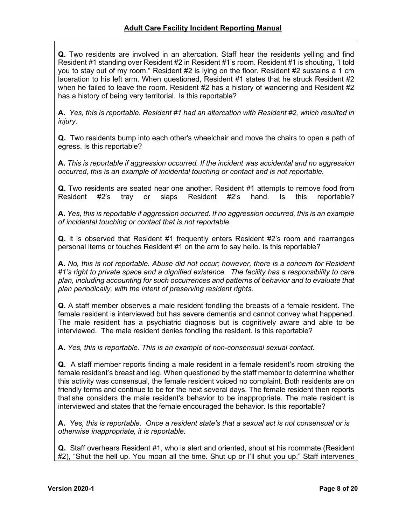**Q.** Two residents are involved in an altercation. Staff hear the residents yelling and find Resident #1 standing over Resident #2 in Resident #1's room. Resident #1 is shouting, "I told you to stay out of my room." Resident #2 is lying on the floor. Resident #2 sustains a 1 cm laceration to his left arm. When questioned, Resident #1 states that he struck Resident #2 when he failed to leave the room. Resident #2 has a history of wandering and Resident #2 has a history of being very territorial. Is this reportable?

**A.** *Yes, this is reportable. Resident #1 had an altercation with Resident #2, which resulted in injury.*

**Q.** Two residents bump into each other's wheelchair and move the chairs to open a path of egress. Is this reportable?

**A.** *This is reportable if aggression occurred. If the incident was accidental and no aggression occurred, this is an example of incidental touching or contact and is not reportable.*

**Q.** Two residents are seated near one another. Resident #1 attempts to remove food from Resident #2's tray or slaps Resident #2's hand. Is this reportable?

**A.** *Yes, this is reportable if aggression occurred. If no aggression occurred, this is an example of incidental touching or contact that is not reportable.*

**Q.** It is observed that Resident #1 frequently enters Resident #2's room and rearranges personal items or touches Resident #1 on the arm to say hello. Is this reportable?

**A.** *No, this is not reportable. Abuse did not occur; however, there is a concern for Resident #1's right to private space and a dignified existence. The facility has a responsibility to care plan, including accounting for such occurrences and patterns of behavior and to evaluate that plan periodically, with the intent of preserving resident rights.*

**Q.** A staff member observes a male resident fondling the breasts of a female resident. The female resident is interviewed but has severe dementia and cannot convey what happened. The male resident has a psychiatric diagnosis but is cognitively aware and able to be interviewed. The male resident denies fondling the resident. Is this reportable?

**A.** *Yes, this is reportable. This is an example of non-consensual sexual contact.*

**Q.** A staff member reports finding a male resident in a female resident's room stroking the female resident's breast and leg. When questioned by the staff member to determine whether this activity was consensual, the female resident voiced no complaint. Both residents are on friendly terms and continue to be for the next several days. The female resident then reports that she considers the male resident's behavior to be inappropriate. The male resident is interviewed and states that the female encouraged the behavior. Is this reportable?

**A.** *Yes, this is reportable. Once a resident state's that a sexual act is not consensual or is otherwise inappropriate, it is reportable.*

**Q.** Staff overhears Resident #1, who is alert and oriented, shout at his roommate (Resident #2), "Shut the hell up. You moan all the time. Shut up or I'll shut you up." Staff intervenes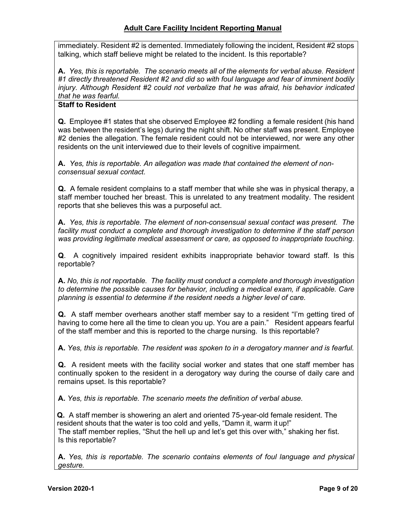immediately. Resident #2 is demented. Immediately following the incident, Resident #2 stops talking, which staff believe might be related to the incident. Is this reportable?

**A.** *Yes, this is reportable. The scenario meets all of the elements for verbal abuse. Resident #1 directly threatened Resident #2 and did so with foul language and fear of imminent bodily injury. Although Resident #2 could not verbalize that he was afraid, his behavior indicated that he was fearful.*

## **Staff to Resident**

**Q.** Employee #1 states that she observed Employee #2 fondling a female resident (his hand was between the resident's legs) during the night shift. No other staff was present. Employee #2 denies the allegation. The female resident could not be interviewed, nor were any other residents on the unit interviewed due to their levels of cognitive impairment.

**A.** *Yes, this is reportable. An allegation was made that contained the element of nonconsensual sexual contact.*

**Q.** A female resident complains to a staff member that while she was in physical therapy, a staff member touched her breast. This is unrelated to any treatment modality. The resident reports that she believes this was a purposeful act.

**A.** *Yes, this is reportable. The element of non-consensual sexual contact was present. The*  facility must conduct a complete and thorough investigation to determine if the staff person *was providing legitimate medical assessment or care, as opposed to inappropriate touching*.

**Q**. A cognitively impaired resident exhibits inappropriate behavior toward staff. Is this reportable?

**A.** *No, this is not reportable. The facility must conduct a complete and thorough investigation to determine the possible causes for behavior, including a medical exam, if applicable. Care planning is essential to determine if the resident needs a higher level of care.*

**Q.** A staff member overhears another staff member say to a resident "I'm getting tired of having to come here all the time to clean you up. You are a pain." Resident appears fearful of the staff member and this is reported to the charge nursing. Is this reportable?

**A.** *Yes, this is reportable. The resident was spoken to in a derogatory manner and is fearful.*

**Q.** A resident meets with the facility social worker and states that one staff member has continually spoken to the resident in a derogatory way during the course of daily care and remains upset. Is this reportable?

**A.** *Yes, this is reportable. The scenario meets the definition of verbal abuse.*

**Q.** A staff member is showering an alert and oriented 75-year-old female resident. The resident shouts that the water is too cold and yells, "Damn it, warm it up!" The staff member replies, "Shut the hell up and let's get this over with," shaking her fist. Is this reportable?

**A.** *Yes, this is reportable. The scenario contains elements of foul language and physical gesture.*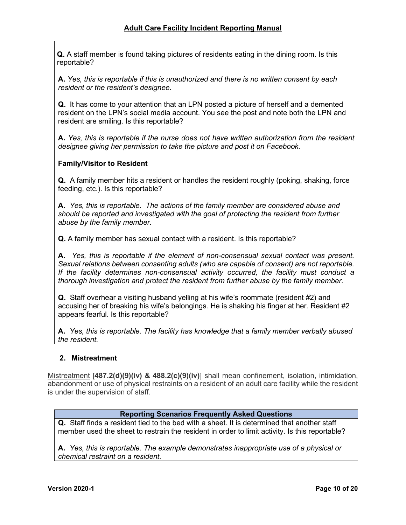**Q.** A staff member is found taking pictures of residents eating in the dining room. Is this reportable?

**A.** *Yes, this is reportable if this is unauthorized and there is no written consent by each resident or the resident's designee.*

**Q.** It has come to your attention that an LPN posted a picture of herself and a demented resident on the LPN's social media account. You see the post and note both the LPN and resident are smiling. Is this reportable?

**A.** *Yes, this is reportable if the nurse does not have written authorization from the resident designee giving her permission to take the picture and post it on Facebook.*

#### **Family/Visitor to Resident**

**Q.** A family member hits a resident or handles the resident roughly (poking, shaking, force feeding, etc.). Is this reportable?

**A.** *Yes, this is reportable. The actions of the family member are considered abuse and should be reported and investigated with the goal of protecting the resident from further abuse by the family member.*

**Q.** A family member has sexual contact with a resident. Is this reportable?

**A.** *Yes, this is reportable if the element of non-consensual sexual contact was present. Sexual relations between consenting adults (who are capable of consent) are not reportable. If the facility determines non-consensual activity occurred, the facility must conduct a thorough investigation and protect the resident from further abuse by the family member.*

**Q.** Staff overhear a visiting husband yelling at his wife's roommate (resident #2) and accusing her of breaking his wife's belongings. He is shaking his finger at her. Resident #2 appears fearful. Is this reportable?

**A.** *Yes, this is reportable. The facility has knowledge that a family member verbally abused the resident.*

#### <span id="page-11-0"></span>**2. Mistreatment**

Mistreatment [**487.2(d)(9)(iv) & 488.2(c)(9)(iv)**] shall mean confinement, isolation, intimidation, abandonment or use of physical restraints on a resident of an adult care facility while the resident is under the supervision of staff.

#### **Reporting Scenarios Frequently Asked Questions**

**Q.** Staff finds a resident tied to the bed with a sheet. It is determined that another staff member used the sheet to restrain the resident in order to limit activity. Is this reportable?

**A.** *Yes, this is reportable. The example demonstrates inappropriate use of a physical or chemical restraint on a resident.*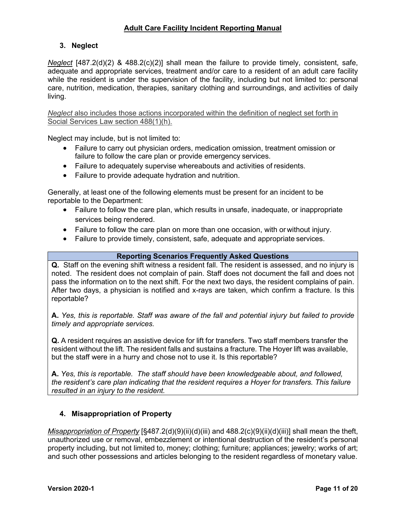## <span id="page-12-0"></span>**3. Neglect**

*Neglect* [487.2(d)(2) & 488.2(c)(2)] shall mean the failure to provide timely, consistent, safe, adequate and appropriate services, treatment and/or care to a resident of an adult care facility while the resident is under the supervision of the facility, including but not limited to: personal care, nutrition, medication, therapies, sanitary clothing and surroundings, and activities of daily living.

*Neglect* also includes those actions incorporated within the definition of neglect set forth in Social Services Law section 488(1)(h).

Neglect may include, but is not limited to:

- Failure to carry out physician orders, medication omission, treatment omission or failure to follow the care plan or provide emergency services.
- Failure to adequately supervise whereabouts and activities of residents.
- Failure to provide adequate hydration and nutrition.

Generally, at least one of the following elements must be present for an incident to be reportable to the Department:

- Failure to follow the care plan, which results in unsafe, inadequate, or inappropriate services being rendered.
- Failure to follow the care plan on more than one occasion, with or without injury.
- Failure to provide timely, consistent, safe, adequate and appropriate services.

## **Reporting Scenarios Frequently Asked Questions**

**Q.** Staff on the evening shift witness a resident fall. The resident is assessed, and no injury is noted. The resident does not complain of pain. Staff does not document the fall and does not pass the information on to the next shift. For the next two days, the resident complains of pain. After two days, a physician is notified and x-rays are taken, which confirm a fracture. Is this reportable?

**A.** *Yes, this is reportable. Staff was aware of the fall and potential injury but failed to provide timely and appropriate services.*

**Q.** A resident requires an assistive device for lift for transfers. Two staff members transfer the resident without the lift. The resident falls and sustains a fracture. The Hoyer lift was available, but the staff were in a hurry and chose not to use it. Is this reportable?

**A.** *Yes, this is reportable. The staff should have been knowledgeable about, and followed, the resident's care plan indicating that the resident requires a Hoyer for transfers. This failure resulted in an injury to the resident.*

## <span id="page-12-1"></span>**4. Misappropriation of Property**

*Misappropriation of Property* [§487.2(d)(9)(ii)(d)(iii) and 488.2(c)(9)(ii)(d)(iii)] shall mean the theft, unauthorized use or removal, embezzlement or intentional destruction of the resident's personal property including, but not limited to, money; clothing; furniture; appliances; jewelry; works of art; and such other possessions and articles belonging to the resident regardless of monetary value.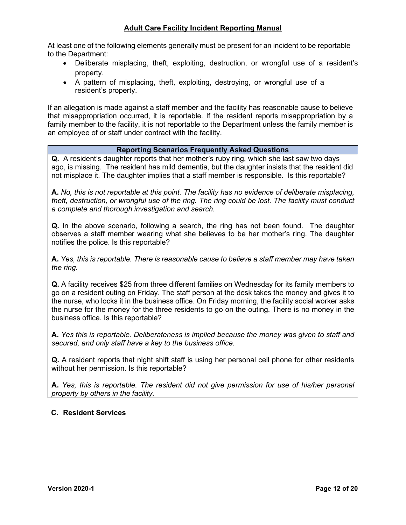At least one of the following elements generally must be present for an incident to be reportable to the Department:

- Deliberate misplacing, theft, exploiting, destruction, or wrongful use of a resident's property.
- A pattern of misplacing, theft, exploiting, destroying, or wrongful use of a resident's property.

If an allegation is made against a staff member and the facility has reasonable cause to believe that misappropriation occurred, it is reportable. If the resident reports misappropriation by a family member to the facility, it is not reportable to the Department unless the family member is an employee of or staff under contract with the facility.

#### **Reporting Scenarios Frequently Asked Questions**

**Q.** A resident's daughter reports that her mother's ruby ring, which she last saw two days ago, is missing. The resident has mild dementia, but the daughter insists that the resident did not misplace it. The daughter implies that a staff member is responsible. Is this reportable?

**A.** *No, this is not reportable at this point. The facility has no evidence of deliberate misplacing, theft, destruction, or wrongful use of the ring. The ring could be lost. The facility must conduct a complete and thorough investigation and search.*

**Q.** In the above scenario, following a search, the ring has not been found. The daughter observes a staff member wearing what she believes to be her mother's ring. The daughter notifies the police. Is this reportable?

**A.** *Yes, this is reportable. There is reasonable cause to believe a staff member may have taken the ring.*

**Q.** A facility receives \$25 from three different families on Wednesday for its family members to go on a resident outing on Friday. The staff person at the desk takes the money and gives it to the nurse, who locks it in the business office. On Friday morning, the facility social worker asks the nurse for the money for the three residents to go on the outing. There is no money in the business office. Is this reportable?

**A.** *Yes this is reportable. Deliberateness is implied because the money was given to staff and secured, and only staff have a key to the business office.*

**Q.** A resident reports that night shift staff is using her personal cell phone for other residents without her permission. Is this reportable?

**A.** *Yes, this is reportable. The resident did not give permission for use of his/her personal property by others in the facility.*

#### <span id="page-13-0"></span>**C. Resident Services**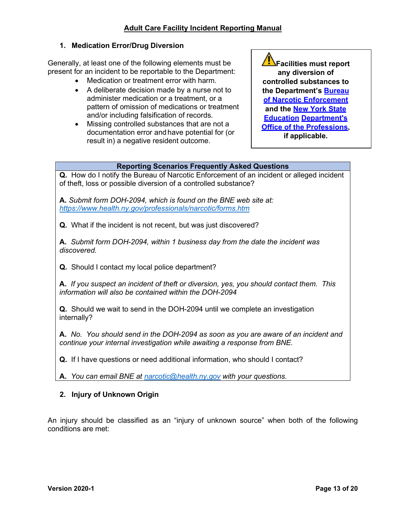## <span id="page-14-0"></span>**1. Medication Error/Drug Diversion**

Generally, at least one of the following elements must be present for an incident to be reportable to the Department:

- Medication or treatment error with harm.
- A deliberate decision made by a nurse not to administer medication or a treatment, or a pattern of omission of medications or treatment and/or including falsification of records.
- Missing controlled substances that are not a documentation error and have potential for (or result in) a negative resident outcome.

**Facilities must report any diversion of controlled substances to the Department's [Bureau](http://www.health.ny.gov/professionals/narcotic/)  [of Narcotic Enforcement](http://www.health.ny.gov/professionals/narcotic/) and the [New York State](http://www.op.nysed.gov/prof/)  [Education](http://www.op.nysed.gov/prof/) [Department's](http://www.op.nysed.gov/prof/)  [Office of the Professions,](http://www.op.nysed.gov/prof/) if applicable.**

#### **Reporting Scenarios Frequently Asked Questions**

**Q.** How do I notify the Bureau of Narcotic Enforcement of an incident or alleged incident of theft, loss or possible diversion of a controlled substance?

**A.** *Submit form DOH-2094, which is found on the BNE web site at: <https://www.health.ny.gov/professionals/narcotic/forms.htm>*

**Q.** What if the incident is not recent, but was just discovered?

**A.** *Submit form DOH-2094, within 1 business day from the date the incident was discovered.*

**Q.** Should I contact my local police department?

**A.** *If you suspect an incident of theft or diversion, yes, you should contact them. This information will also be contained within the DOH-2094*

**Q.** Should we wait to send in the DOH-2094 until we complete an investigation internally?

**A.** *No. You should send in the DOH-2094 as soon as you are aware of an incident and continue your internal investigation while awaiting a response from BNE.*

**Q.** If I have questions or need additional information, who should I contact?

**A.** *You can email BNE at [narcotic@health.ny.gov](mailto:narcotic@health.ny.gov) with your questions.*

## <span id="page-14-1"></span>**2. Injury of Unknown Origin**

An injury should be classified as an "injury of unknown source" when both of the following conditions are met: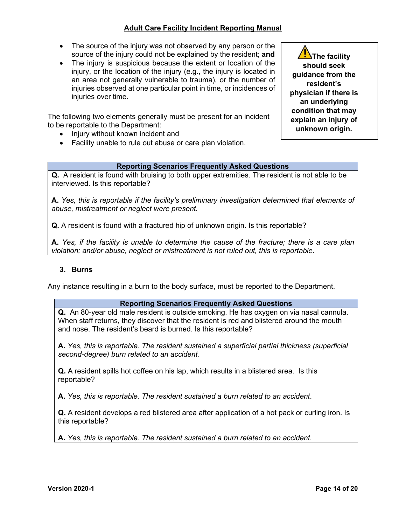- The source of the injury was not observed by any person or the source of the injury could not be explained by the resident; **and**
- The injury is suspicious because the extent or location of the injury, or the location of the injury (e.g., the injury is located in an area not generally vulnerable to trauma), or the number of injuries observed at one particular point in time, or incidences of injuries over time.

The following two elements generally must be present for an incident to be reportable to the Department:

- Injury without known incident and
- Facility unable to rule out abuse or care plan violation.

## **Al**The facility **should seek guidance from the resident's physician if there is an underlying condition that may explain an injury of unknown origin.**

#### **Reporting Scenarios Frequently Asked Questions**

**Q.** A resident is found with bruising to both upper extremities. The resident is not able to be interviewed. Is this reportable?

**A.** *Yes, this is reportable if the facility's preliminary investigation determined that elements of abuse, mistreatment or neglect were present.*

**Q.** A resident is found with a fractured hip of unknown origin. Is this reportable?

**A.** *Yes, if the facility is unable to determine the cause of the fracture; there is a care plan violation; and/or abuse, neglect or mistreatment is not ruled out, this is reportable*.

#### <span id="page-15-0"></span>**3. Burns**

Any instance resulting in a burn to the body surface, must be reported to the Department.

#### **Reporting Scenarios Frequently Asked Questions**

**Q.** An 80-year old male resident is outside smoking. He has oxygen on via nasal cannula. When staff returns, they discover that the resident is red and blistered around the mouth and nose. The resident's beard is burned. Is this reportable?

**A.** *Yes, this is reportable. The resident sustained a superficial partial thickness (superficial second-degree) burn related to an accident.*

**Q.** A resident spills hot coffee on his lap, which results in a blistered area. Is this reportable?

**A.** *Yes, this is reportable. The resident sustained a burn related to an accident*.

**Q.** A resident develops a red blistered area after application of a hot pack or curling iron. Is this reportable?

**A.** *Yes, this is reportable. The resident sustained a burn related to an accident.*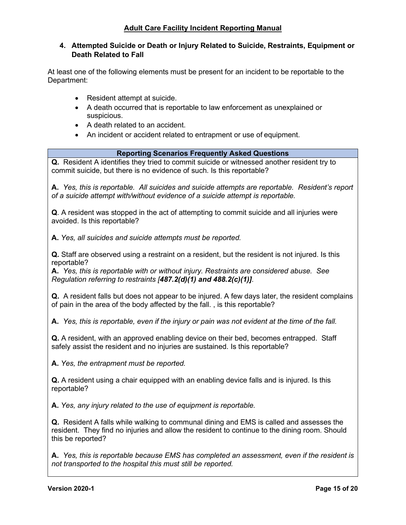## <span id="page-16-0"></span>**4. Attempted Suicide or Death or Injury Related to Suicide, Restraints, Equipment or Death Related to Fall**

At least one of the following elements must be present for an incident to be reportable to the Department:

- Resident attempt at suicide.
- A death occurred that is reportable to law enforcement as unexplained or suspicious.
- A death related to an accident.
- An incident or accident related to entrapment or use of equipment.

## **Reporting Scenarios Frequently Asked Questions**

**Q.** Resident A identifies they tried to commit suicide or witnessed another resident try to commit suicide, but there is no evidence of such. Is this reportable?

**A.** *Yes, this is reportable. All suicides and suicide attempts are reportable. Resident's report of a suicide attempt with/without evidence of a suicide attempt is reportable.*

**Q**. A resident was stopped in the act of attempting to commit suicide and all injuries were avoided. Is this reportable?

**A.** *Yes, all suicides and suicide attempts must be reported.*

**Q.** Staff are observed using a restraint on a resident, but the resident is not injured. Is this reportable?

**A.** *Yes, this is reportable with or without injury. Restraints are considered abuse. See Regulation referring to restraints [487.2(d)(1) and 488.2(c)(1)]*.

**Q.** A resident falls but does not appear to be injured. A few days later, the resident complains of pain in the area of the body affected by the fall. , is this reportable?

**A.** *Yes, this is reportable, even if the injury or pain was not evident at the time of the fall.*

**Q.** A resident, with an approved enabling device on their bed, becomes entrapped. Staff safely assist the resident and no injuries are sustained. Is this reportable?

**A.** *Yes, the entrapment must be reported.*

**Q.** A resident using a chair equipped with an enabling device falls and is injured. Is this reportable?

**A.** *Yes, any injury related to the use of equipment is reportable.*

**Q.** Resident A falls while walking to communal dining and EMS is called and assesses the resident. They find no injuries and allow the resident to continue to the dining room. Should this be reported?

**A.** *Yes, this is reportable because EMS has completed an assessment, even if the resident is not transported to the hospital this must still be reported.*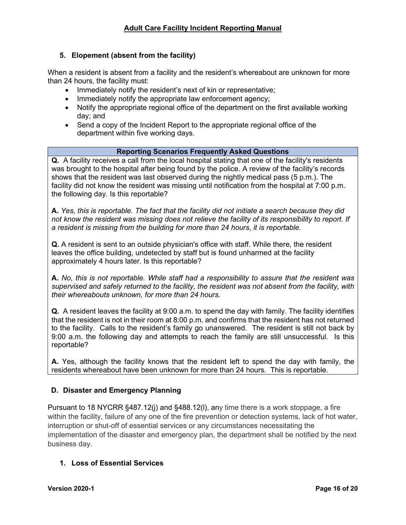## <span id="page-17-0"></span>**5. Elopement (absent from the facility)**

When a resident is absent from a facility and the resident's whereabout are unknown for more than 24 hours, the facility must:

- Immediately notify the resident's next of kin or representative;
- Immediately notify the appropriate law enforcement agency;
- Notify the appropriate regional office of the department on the first available working day; and
- Send a copy of the Incident Report to the appropriate regional office of the department within five working days.

#### **Reporting Scenarios Frequently Asked Questions**

**Q.** A facility receives a call from the local hospital stating that one of the facility's residents was brought to the hospital after being found by the police. A review of the facility's records shows that the resident was last observed during the nightly medical pass (5 p.m.). The facility did not know the resident was missing until notification from the hospital at 7:00 p.m. the following day. Is this reportable?

**A.** *Yes, this is reportable. The fact that the facility did not initiate a search because they did not know the resident was missing does not relieve the facility of its responsibility to report. If a resident is missing from the building for more than 24 hours, it is reportable.*

**Q.** A resident is sent to an outside physician's office with staff. While there, the resident leaves the office building, undetected by staff but is found unharmed at the facility approximately 4 hours later. Is this reportable?

**A.** *No, this is not reportable. While staff had a responsibility to assure that the resident was supervised and safely returned to the facility, the resident was not absent from the facility, with their whereabouts unknown, for more than 24 hours.*

**Q.** A resident leaves the facility at 9:00 a.m. to spend the day with family. The facility identifies that the resident is not in their room at 8:00 p.m. and confirms that the resident has not returned to the facility. Calls to the resident's family go unanswered. The resident is still not back by 9:00 a.m. the following day and attempts to reach the family are still unsuccessful. Is this reportable?

**A.** Yes, although the facility knows that the resident left to spend the day with family, the residents whereabout have been unknown for more than 24 hours. This is reportable.

## <span id="page-17-1"></span>**D. Disaster and Emergency Planning**

Pursuant to 18 NYCRR §487.12(j) and §488.12(l), any time there is a work stoppage, a fire within the facility, failure of any one of the fire prevention or detection systems, lack of hot water, interruption or shut-off of essential services or any circumstances necessitating the implementation of the disaster and emergency plan, the department shall be notified by the next business day.

## <span id="page-17-2"></span>**1. Loss of Essential Services**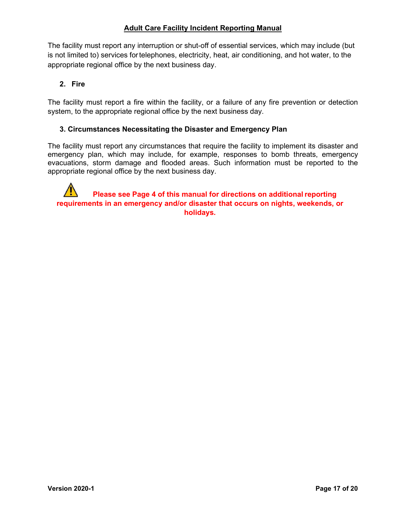The facility must report any interruption or shut-off of essential services, which may include (but is not limited to) services fortelephones, electricity, heat, air conditioning, and hot water, to the appropriate regional office by the next business day.

## <span id="page-18-0"></span>**2. Fire**

The facility must report a fire within the facility, or a failure of any fire prevention or detection system, to the appropriate regional office by the next business day.

## **3. Circumstances Necessitating the Disaster and Emergency Plan**

The facility must report any circumstances that require the facility to implement its disaster and emergency plan, which may include, for example, responses to bomb threats, emergency evacuations, storm damage and flooded areas. Such information must be reported to the appropriate regional office by the next business day.

**Please see Page 4 of this manual for directions on additional reporting requirements in an emergency and/or disaster that occurs on nights, weekends, or holidays.**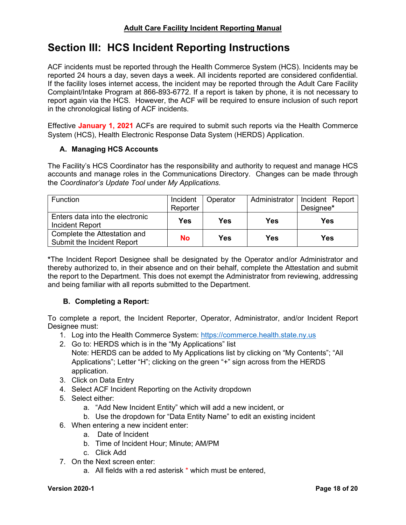## <span id="page-19-0"></span>**Section III: HCS Incident Reporting Instructions**

ACF incidents must be reported through the Health Commerce System (HCS). Incidents may be reported 24 hours a day, seven days a week. All incidents reported are considered confidential. If the facility loses internet access, the incident may be reported through the Adult Care Facility Complaint/Intake Program at 866-893-6772. If a report is taken by phone, it is not necessary to report again via the HCS. However, the ACF will be required to ensure inclusion of such report in the chronological listing of ACF incidents.

Effective **January 1, 2021** ACFs are required to submit such reports via the Health Commerce System (HCS), Health Electronic Response Data System (HERDS) Application.

## <span id="page-19-1"></span>**A. Managing HCS Accounts**

The Facility's HCS Coordinator has the responsibility and authority to request and manage HCS accounts and manage roles in the Communications Directory. Changes can be made through the *Coordinator's Update Tool* under *My Applications.*

| <b>Function</b>                                            | Incident<br>Reporter | Operator | Administrator | Incident Report<br>Designee* |
|------------------------------------------------------------|----------------------|----------|---------------|------------------------------|
| Enters data into the electronic<br>Incident Report         | <b>Yes</b>           | Yes      | Yes           | Yes                          |
| Complete the Attestation and<br>Submit the Incident Report | <b>No</b>            | Yes      | Yes           | Yes                          |

**\***The Incident Report Designee shall be designated by the Operator and/or Administrator and thereby authorized to, in their absence and on their behalf, complete the Attestation and submit the report to the Department. This does not exempt the Administrator from reviewing, addressing and being familiar with all reports submitted to the Department.

## <span id="page-19-2"></span>**B. Completing a Report:**

To complete a report, the Incident Reporter, Operator, Administrator, and/or Incident Report Designee must:

- 1. Log into the Health Commerce System: [https://commerce.health.state.ny.us](https://commerce.health.state.ny.us/)
- 2. Go to: HERDS which is in the "My Applications" list Note: HERDS can be added to My Applications list by clicking on "My Contents"; "All Applications": Letter "H": clicking on the green "+" sign across from the HERDS application.
- 3. Click on Data Entry
- 4. Select ACF Incident Reporting on the Activity dropdown
- 5. Select either:
	- a. "Add New Incident Entity" which will add a new incident, or
	- b. Use the dropdown for "Data Entity Name" to edit an existing incident
- 6. When entering a new incident enter:
	- a. Date of Incident
	- b. Time of Incident Hour; Minute; AM/PM
	- c. Click Add
- 7. On the Next screen enter:
	- a. All fields with a red asterisk \* which must be entered,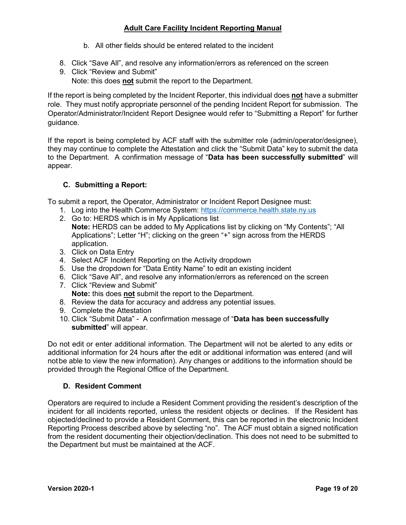- b. All other fields should be entered related to the incident
- 8. Click "Save All", and resolve any information/errors as referenced on the screen
- 9. Click "Review and Submit" Note: this does **not** submit the report to the Department.

If the report is being completed by the Incident Reporter, this individual does **not** have a submitter role. They must notify appropriate personnel of the pending Incident Report for submission. The Operator/Administrator/Incident Report Designee would refer to "Submitting a Report" for further guidance.

If the report is being completed by ACF staff with the submitter role (admin/operator/designee), they may continue to complete the Attestation and click the "Submit Data" key to submit the data to the Department. A confirmation message of "**Data has been successfully submitted**" will appear.

## <span id="page-20-0"></span>**C. Submitting a Report:**

To submit a report, the Operator, Administrator or Incident Report Designee must:

- 1. Log into the Health Commerce System: [https://commerce.health.state.ny.us](https://commerce.health.state.ny.us/)
- 2. Go to: HERDS which is in My Applications list
- **Note:** HERDS can be added to My Applications list by clicking on "My Contents"; "All Applications"; Letter "H"; clicking on the green "+" sign across from the HERDS application.
- 3. Click on Data Entry
- 4. Select ACF Incident Reporting on the Activity dropdown
- 5. Use the dropdown for "Data Entity Name" to edit an existing incident
- 6. Click "Save All", and resolve any information/errors as referenced on the screen
- 7. Click "Review and Submit" **Note:** this does **not** submit the report to the Department.
- 8. Review the data for accuracy and address any potential issues.
- 9. Complete the Attestation
- 10. Click "Submit Data" A confirmation message of "**Data has been successfully submitted**" will appear.

Do not edit or enter additional information. The Department will not be alerted to any edits or additional information for 24 hours after the edit or additional information was entered (and will notbe able to view the new information). Any changes or additions to the information should be provided through the Regional Office of the Department.

## <span id="page-20-1"></span>**D. Resident Comment**

Operators are required to include a Resident Comment providing the resident's description of the incident for all incidents reported, unless the resident objects or declines. If the Resident has objected/declined to provide a Resident Comment, this can be reported in the electronic Incident Reporting Process described above by selecting "no". The ACF must obtain a signed notification from the resident documenting their objection/declination. This does not need to be submitted to the Department but must be maintained at the ACF.